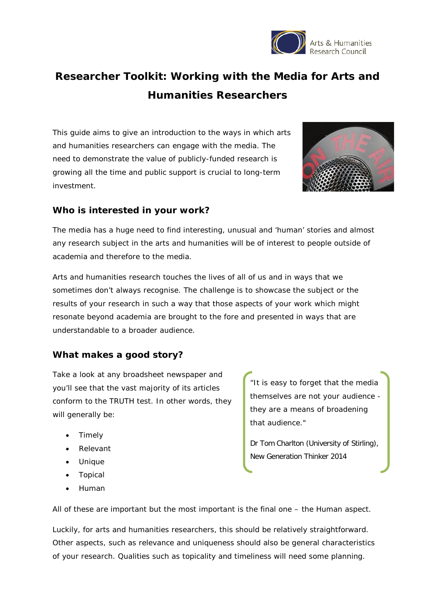

# **Researcher Toolkit: Working with the Media for Arts and Humanities Researchers**

This guide aims to give an introduction to the ways in which arts and humanities researchers can engage with the media. The need to demonstrate the value of publicly-funded research is growing all the time and public support is crucial to long-term investment.



#### **Who is interested in your work?**

The media has a huge need to find interesting, unusual and 'human' stories and almost any research subject in the arts and humanities will be of interest to people outside of academia and therefore to the media.

Arts and humanities research touches the lives of all of us and in ways that we sometimes don't always recognise. The challenge is to showcase the subject or the results of your research in such a way that those aspects of your work which might resonate beyond academia are brought to the fore and presented in ways that are understandable to a broader audience.

## **What makes a good story?**

Take a look at any broadsheet newspaper and you'll see that the vast majority of its articles conform to the TRUTH test. In other words, they will generally be:

- Timely
- Relevant
- Unique
- Topical
- Human

"It is easy to forget that the media themselves are not your audience they are a means of broadening that audience."

Dr Tom Charlton (University of Stirling), New Generation Thinker 2014

All of these are important but the most important is the final one – the Human aspect.

Luckily, for arts and humanities researchers, this should be relatively straightforward. Other aspects, such as relevance and uniqueness should also be general characteristics of your research. Qualities such as topicality and timeliness will need some planning.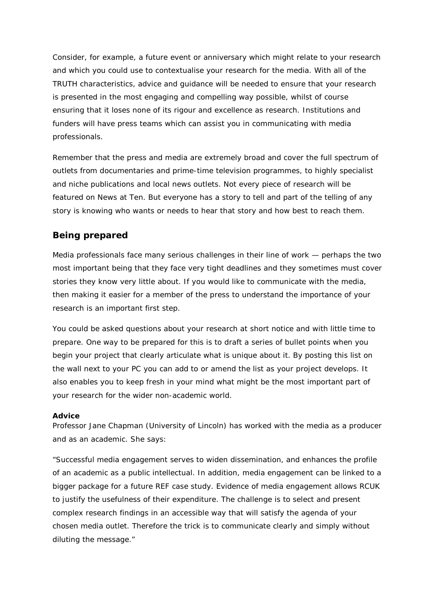Consider, for example, a future event or anniversary which might relate to your research and which you could use to contextualise your research for the media. With all of the TRUTH characteristics, advice and guidance will be needed to ensure that your research is presented in the most engaging and compelling way possible, whilst of course ensuring that it loses none of its rigour and excellence as research. Institutions and funders will have press teams which can assist you in communicating with media professionals.

Remember that the press and media are extremely broad and cover the full spectrum of outlets from documentaries and prime-time television programmes, to highly specialist and niche publications and local news outlets. Not every piece of research will be featured on News at Ten. But everyone has a story to tell and part of the telling of any story is knowing who wants or needs to hear that story and how best to reach them.

#### **Being prepared**

Media professionals face many serious challenges in their line of work — perhaps the two most important being that they face very tight deadlines and they sometimes must cover stories they know very little about. If you would like to communicate with the media, then making it easier for a member of the press to understand the importance of your research is an important first step.

You could be asked questions about your research at short notice and with little time to prepare. One way to be prepared for this is to draft a series of bullet points when you begin your project that clearly articulate what is unique about it. By posting this list on the wall next to your PC you can add to or amend the list as your project develops. It also enables you to keep fresh in your mind what might be the most important part of your research for the wider non-academic world.

#### **Advice**

Professor Jane Chapman (University of Lincoln) has worked with the media as a producer and as an academic. She says:

"Successful media engagement serves to widen dissemination, and enhances the profile of an academic as a public intellectual. In addition, media engagement can be linked to a bigger package for a future REF case study. Evidence of media engagement allows RCUK to justify the usefulness of their expenditure. The challenge is to select and present complex research findings in an accessible way that will satisfy the agenda of your chosen media outlet. Therefore the trick is to communicate clearly and simply without diluting the message."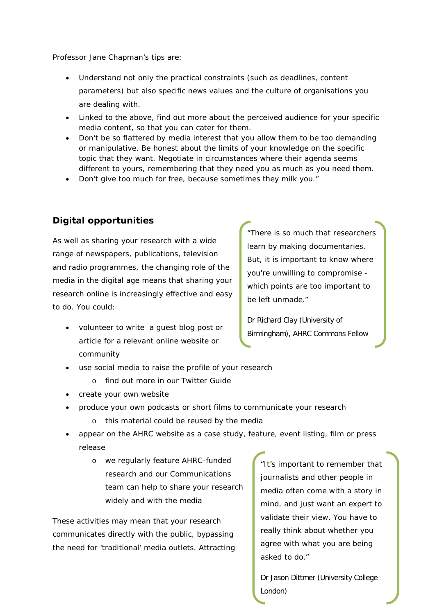Professor Jane Chapman's tips are:

- Understand not only the practical constraints (such as deadlines, content parameters) but also specific news values and the culture of organisations you are dealing with.
- Linked to the above, find out more about the perceived audience for your specific media content, so that you can cater for them.
- Don't be so flattered by media interest that you allow them to be too demanding or manipulative. Be honest about the limits of your knowledge on the specific topic that they want. Negotiate in circumstances where their agenda seems different to yours, remembering that they need you as much as you need them.
- Don't give too much for free, because sometimes they milk you."

### **Digital opportunities**

As well as sharing your research with a wide range of newspapers, publications, television and radio programmes, the changing role of the media in the digital age means that sharing your research online is increasingly effective and easy to do. You could:

• volunteer to write a guest blog post or article for a relevant online website or community

"There is so much that researchers learn by making documentaries. But, it is important to know where you're unwilling to compromise which points are too important to be left unmade."

Dr Richard Clay (University of Birmingham), AHRC Commons Fellow

- use social media to raise the profile of your research
	- o find out more in our Twitter Guide
- create your own website
- produce your own podcasts or short films to communicate your research
	- o this material could be reused by the media
- appear on the AHRC website as a case study, feature, event listing, film or press release
	- o we regularly feature AHRC-funded research and our Communications team can help to share your research widely and with the media

These activities may mean that your research communicates directly with the public, bypassing the need for 'traditional' media outlets. Attracting

"It's important to remember that journalists and other people in media often come with a story in mind, and just want an expert to validate their view. You have to really think about whether you agree with what you are being asked to do."

Dr Jason Dittmer (University College London)